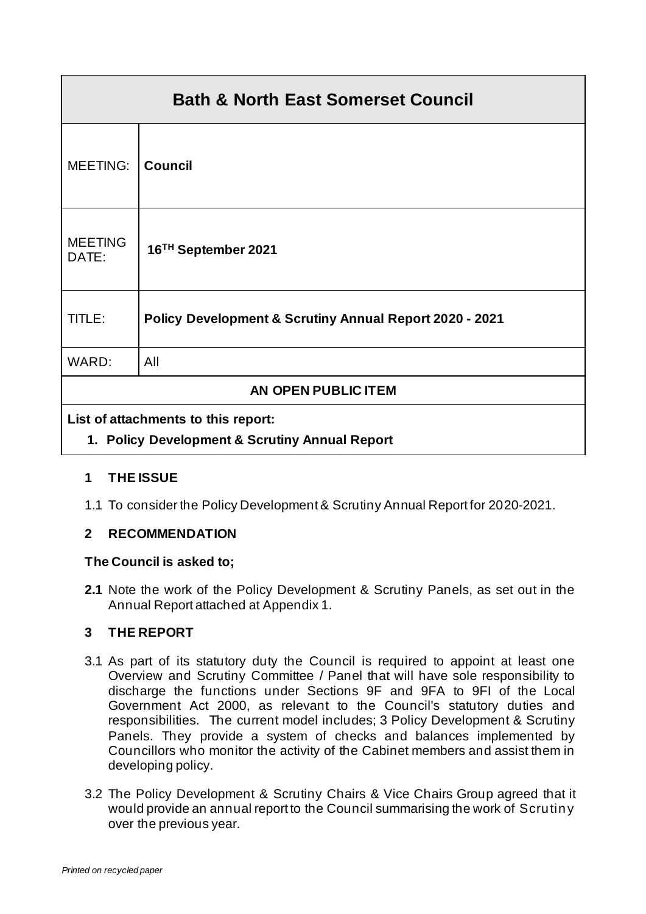| <b>Bath &amp; North East Somerset Council</b> |                                                                    |  |
|-----------------------------------------------|--------------------------------------------------------------------|--|
| MEETING:                                      | <b>Council</b>                                                     |  |
| <b>MEETING</b><br>DATE:                       | 16 <sup>TH</sup> September 2021                                    |  |
| TITLE:                                        | <b>Policy Development &amp; Scrutiny Annual Report 2020 - 2021</b> |  |
| WARD:                                         | All                                                                |  |
| AN OPEN PUBLIC ITEM                           |                                                                    |  |
| List of attachments to this report:           |                                                                    |  |

# **1. Policy Development & Scrutiny Annual Report**

## **1 THE ISSUE**

1.1 To consider the Policy Development & Scrutiny Annual Report for 2020-2021.

## **2 RECOMMENDATION**

## **The Council is asked to;**

**2.1** Note the work of the Policy Development & Scrutiny Panels, as set out in the Annual Report attached at Appendix 1.

## **3 THE REPORT**

- 3.1 As part of its statutory duty the Council is required to appoint at least one Overview and Scrutiny Committee / Panel that will have sole responsibility to discharge the functions under Sections 9F and 9FA to 9FI of the Local Government Act 2000, as relevant to the Council's statutory duties and responsibilities. The current model includes; 3 Policy Development & Scrutiny Panels. They provide a system of checks and balances implemented by Councillors who monitor the activity of the Cabinet members and assist them in developing policy.
- 3.2 The Policy Development & Scrutiny Chairs & Vice Chairs Group agreed that it would provide an annual report to the Council summarising the work of Scrutiny over the previous year.